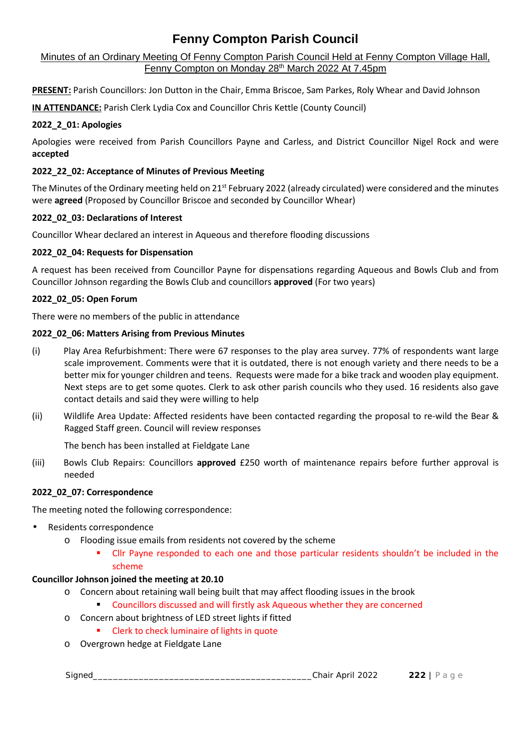# Minutes of an Ordinary Meeting Of Fenny Compton Parish Council Held at Fenny Compton Village Hall, Fenny Compton on Monday 28<sup>th</sup> March 2022 At 7.45pm

**PRESENT:** Parish Councillors: Jon Dutton in the Chair, Emma Briscoe, Sam Parkes, Roly Whear and David Johnson

**IN ATTENDANCE:** Parish Clerk Lydia Cox and Councillor Chris Kettle (County Council)

# **2022\_2\_01: Apologies**

Apologies were received from Parish Councillors Payne and Carless, and District Councillor Nigel Rock and were **accepted**

# **2022\_22\_02: Acceptance of Minutes of Previous Meeting**

The Minutes of the Ordinary meeting held on 21<sup>st</sup> February 2022 (already circulated) were considered and the minutes were **agreed** (Proposed by Councillor Briscoe and seconded by Councillor Whear)

### **2022\_02\_03: Declarations of Interest**

Councillor Whear declared an interest in Aqueous and therefore flooding discussions

### **2022\_02\_04: Requests for Dispensation**

A request has been received from Councillor Payne for dispensations regarding Aqueous and Bowls Club and from Councillor Johnson regarding the Bowls Club and councillors **approved** (For two years)

### **2022\_02\_05: Open Forum**

There were no members of the public in attendance

### **2022\_02\_06: Matters Arising from Previous Minutes**

- (i) Play Area Refurbishment: There were 67 responses to the play area survey. 77% of respondents want large scale improvement. Comments were that it is outdated, there is not enough variety and there needs to be a better mix for younger children and teens. Requests were made for a bike track and wooden play equipment. Next steps are to get some quotes. Clerk to ask other parish councils who they used. 16 residents also gave contact details and said they were willing to help
- (ii) Wildlife Area Update: Affected residents have been contacted regarding the proposal to re-wild the Bear & Ragged Staff green. Council will review responses

The bench has been installed at Fieldgate Lane

(iii) Bowls Club Repairs: Councillors **approved** £250 worth of maintenance repairs before further approval is needed

### **2022\_02\_07: Correspondence**

The meeting noted the following correspondence:

- Residents correspondence
	- o Flooding issue emails from residents not covered by the scheme
		- Cllr Payne responded to each one and those particular residents shouldn't be included in the scheme

#### **Councillor Johnson joined the meeting at 20.10**

- o Concern about retaining wall being built that may affect flooding issues in the brook
	- Councillors discussed and will firstly ask Aqueous whether they are concerned
- o Concern about brightness of LED street lights if fitted
- Signed\_\_\_\_\_\_\_\_\_\_\_\_\_\_\_\_\_\_\_\_\_\_\_\_\_\_\_\_\_\_\_\_\_\_\_\_\_\_\_\_\_\_\_Chair April <sup>2022</sup> **<sup>222</sup>** <sup>|</sup> P a g e Clerk to check luminaire of lights in quote
- o Overgrown hedge at Fieldgate Lane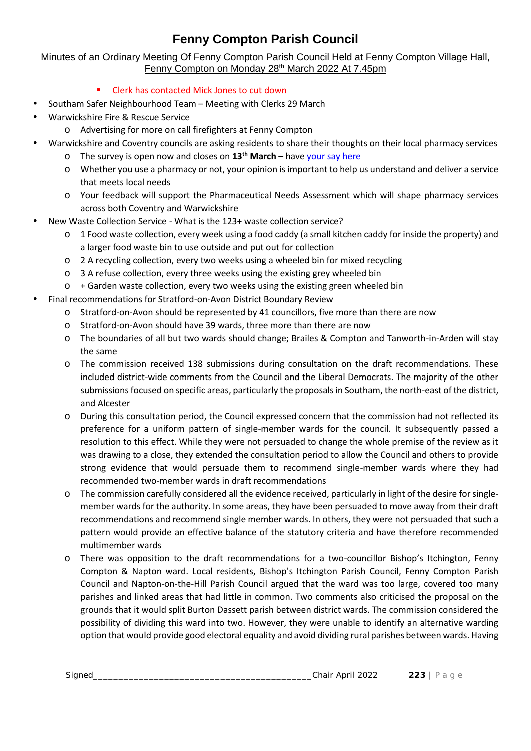# Minutes of an Ordinary Meeting Of Fenny Compton Parish Council Held at Fenny Compton Village Hall, Fenny Compton on Monday 28<sup>th</sup> March 2022 At 7.45pm

- Clerk has contacted Mick Jones to cut down
- Southam Safer Neighbourhood Team Meeting with Clerks 29 March
- Warwickshire Fire & Rescue Service
	- o Advertising for more on call firefighters at Fenny Compton
- Warwickshire and Coventry councils are asking residents to share their thoughts on their local pharmacy services
	- o The survey is open now and closes on **13th March** have your say here
	- o Whether you use a pharmacy or not, your opinion is important to help us understand and deliver a service that meets local needs
	- o Your feedback will support the Pharmaceutical Needs Assessment which will shape pharmacy services across both Coventry and Warwickshire
- New Waste Collection Service What is the 123+ waste collection service?
	- o 1 Food waste collection, every week using a food caddy (a small kitchen caddy for inside the property) and a larger food waste bin to use outside and put out for collection
	- o 2 A recycling collection, every two weeks using a wheeled bin for mixed recycling
	- o 3 A refuse collection, every three weeks using the existing grey wheeled bin
	- $\circ$  + Garden waste collection, every two weeks using the existing green wheeled bin
- Final recommendations for Stratford-on-Avon District Boundary Review
	- o Stratford-on-Avon should be represented by 41 councillors, five more than there are now
	- o Stratford-on-Avon should have 39 wards, three more than there are now
	- o The boundaries of all but two wards should change; Brailes & Compton and Tanworth-in-Arden will stay the same
	- o The commission received 138 submissions during consultation on the draft recommendations. These included district-wide comments from the Council and the Liberal Democrats. The majority of the other submissions focused on specific areas, particularly the proposals in Southam, the north-east of the district, and Alcester
	- o During this consultation period, the Council expressed concern that the commission had not reflected its preference for a uniform pattern of single-member wards for the council. It subsequently passed a resolution to this effect. While they were not persuaded to change the whole premise of the review as it was drawing to a close, they extended the consultation period to allow the Council and others to provide strong evidence that would persuade them to recommend single-member wards where they had recommended two-member wards in draft recommendations
	- o The commission carefully considered all the evidence received, particularly in light of the desire for single member wards for the authority. In some areas, they have been persuaded to move away from their draft recommendations and recommend single member wards. In others, they were not persuaded that such a pattern would provide an effective balance of the statutory criteria and have therefore recommended multimember wards
	- Signed\_\_\_\_\_\_\_\_\_\_\_\_\_\_\_\_\_\_\_\_\_\_\_\_\_\_\_\_\_\_\_\_\_\_\_\_\_\_\_\_\_\_\_Chair April <sup>2022</sup> **<sup>223</sup>** <sup>|</sup> P a g e option that would provide good electoral equality and avoid dividing rural parishes between wards. Havingo There was opposition to the draft recommendations for a two-councillor Bishop's Itchington, Fenny Compton & Napton ward. Local residents, Bishop's Itchington Parish Council, Fenny Compton Parish Council and Napton-on-the-Hill Parish Council argued that the ward was too large, covered too many parishes and linked areas that had little in common. Two comments also criticised the proposal on the grounds that it would split Burton Dassett parish between district wards. The commission considered the possibility of dividing this ward into two. However, they were unable to identify an alternative warding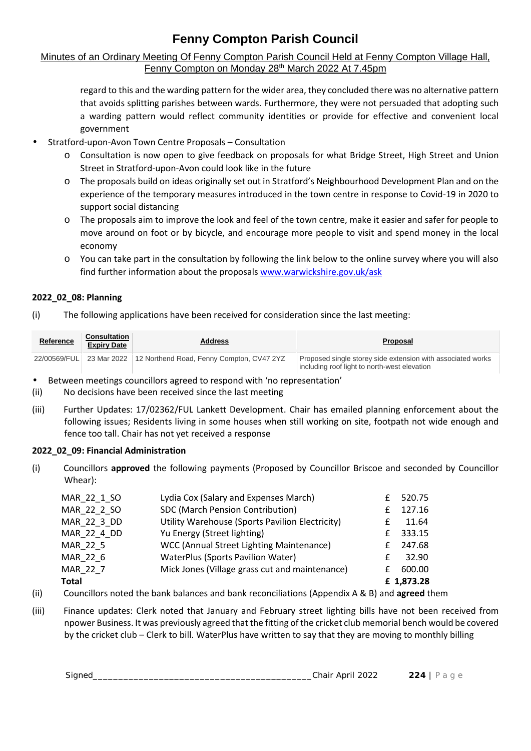# Minutes of an Ordinary Meeting Of Fenny Compton Parish Council Held at Fenny Compton Village Hall, Fenny Compton on Monday 28<sup>th</sup> March 2022 At 7.45pm

regard to this and the warding pattern for the wider area, they concluded there was no alternative pattern that avoids splitting parishes between wards. Furthermore, they were not persuaded that adopting such a warding pattern would reflect community identities or provide for effective and convenient local government

- Stratford-upon-Avon Town Centre Proposals Consultation
	- o Consultation is now open to give feedback on proposals for what Bridge Street, High Street and Union Street in Stratford-upon-Avon could look like in the future
	- o The proposals build on ideas originally set out in Stratford's Neighbourhood Development Plan and on the experience of the temporary measures introduced in the town centre in response to Covid-19 in 2020 to support social distancing
	- o The proposals aim to improve the look and feel of the town centre, make it easier and safer for people to move around on foot or by bicycle, and encourage more people to visit and spend money in the local economy
	- o You can take part in the consultation by following the link below to the online survey where you will also find further information about the proposals www.warwickshire.gov.uk/ask

# **2022\_02\_08: Planning**

(i) The following applications have been received for consideration since the last meeting:

| <b>Reference</b> | <b>Consultation</b><br><b>Expiry Date</b> | Address                                                            | <b>Proposal</b>                                                                                             |
|------------------|-------------------------------------------|--------------------------------------------------------------------|-------------------------------------------------------------------------------------------------------------|
|                  |                                           | 22/00569/FUL 23 Mar 2022 12 Northend Road, Fenny Compton, CV47 2YZ | Proposed single storey side extension with associated works<br>including roof light to north-west elevation |

Between meetings councillors agreed to respond with 'no representation'

- (ii) No decisions have been received since the last meeting
- (iii) Further Updates: 17/02362/FUL Lankett Development. Chair has emailed planning enforcement about the following issues; Residents living in some houses when still working on site, footpath not wide enough and fence too tall. Chair has not yet received a response

# **2022\_02\_09: Financial Administration**

(i) Councillors **approved** the following payments (Proposed by Councillor Briscoe and seconded by Councillor Whear):

| MAR 22 1 SO | Lydia Cox (Salary and Expenses March)           |   | 520.75     |  |
|-------------|-------------------------------------------------|---|------------|--|
| MAR 22 2 SO | SDC (March Pension Contribution)                |   | 127.16     |  |
| MAR 22 3 DD | Utility Warehouse (Sports Pavilion Electricity) |   | 11.64      |  |
| MAR 22 4 DD | Yu Energy (Street lighting)                     | f | 333.15     |  |
| MAR 22 5    | WCC (Annual Street Lighting Maintenance)        | £ | 247.68     |  |
| MAR 22 6    | WaterPlus (Sports Pavilion Water)               |   | 32.90      |  |
| MAR 22 7    | Mick Jones (Village grass cut and maintenance)  | f | 600.00     |  |
| Total       |                                                 |   | £ 1,873.28 |  |

- (ii) Councillors noted the bank balances and bank reconciliations (Appendix A & B) and **agreed** them
- Signed\_\_\_\_\_\_\_\_\_\_\_\_\_\_\_\_\_\_\_\_\_\_\_\_\_\_\_\_\_\_\_\_\_\_\_\_\_\_\_\_\_\_\_Chair April <sup>2022</sup> **<sup>224</sup>** <sup>|</sup> P a g e by the cricket club Clerk to bill. WaterPlus have written to say that they are moving to monthly billing (iii) Finance updates: Clerk noted that January and February street lighting bills have not been received from npower Business. It was previously agreed that the fitting of the cricket club memorial bench would be covered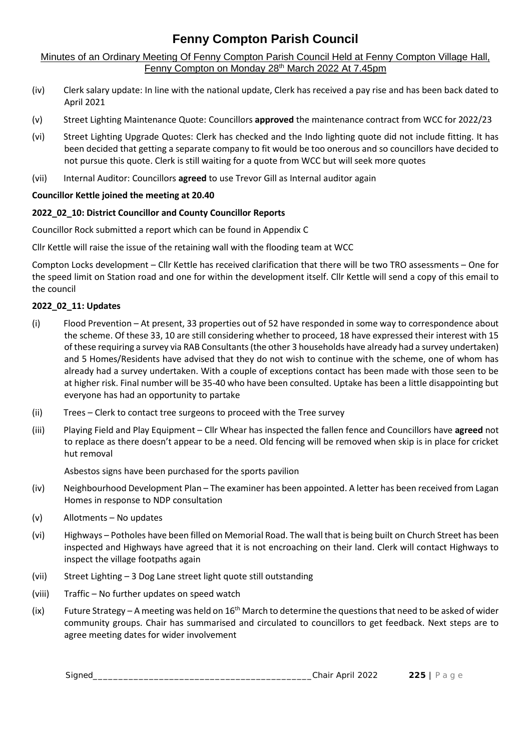Minutes of an Ordinary Meeting Of Fenny Compton Parish Council Held at Fenny Compton Village Hall, Fenny Compton on Monday 28<sup>th</sup> March 2022 At 7.45pm

- (iv) Clerk salary update: In line with the national update, Clerk has received a pay rise and has been back dated to April 2021
- (v) Street Lighting Maintenance Quote: Councillors **approved** the maintenance contract from WCC for 2022/23
- (vi) Street Lighting Upgrade Quotes: Clerk has checked and the Indo lighting quote did not include fitting. It has been decided that getting a separate company to fit would be too onerous and so councillors have decided to not pursue this quote. Clerk is still waiting for a quote from WCC but will seek more quotes
- (vii) Internal Auditor: Councillors **agreed** to use Trevor Gill as Internal auditor again

### **Councillor Kettle joined the meeting at 20.40**

### **2022\_02\_10: District Councillor and County Councillor Reports**

Councillor Rock submitted a report which can be found in Appendix C

Cllr Kettle will raise the issue of the retaining wall with the flooding team at WCC

Compton Locks development – Cllr Kettle has received clarification that there will be two TRO assessments – One for the speed limit on Station road and one for within the development itself. Cllr Kettle will send a copy of this email to the council

### **2022\_02\_11: Updates**

- (i) Flood Prevention At present, 33 properties out of 52 have responded in some way to correspondence about the scheme. Of these 33, 10 are still considering whether to proceed, 18 have expressed their interest with 15 of these requiring a survey via RAB Consultants (the other 3 households have already had a survey undertaken) and 5 Homes/Residents have advised that they do not wish to continue with the scheme, one of whom has already had a survey undertaken. With a couple of exceptions contact has been made with those seen to be at higher risk. Final number will be 35-40 who have been consulted. Uptake has been a little disappointing but everyone has had an opportunity to partake
- (ii) Trees Clerk to contact tree surgeons to proceed with the Tree survey
- (iii) Playing Field and Play Equipment Cllr Whear has inspected the fallen fence and Councillors have **agreed** not to replace as there doesn't appear to be a need. Old fencing will be removed when skip is in place for cricket hut removal

Asbestos signs have been purchased for the sports pavilion

- (iv) Neighbourhood Development Plan The examiner has been appointed. A letter has been received from Lagan Homes in response to NDP consultation
- (v) Allotments No updates
- (vi) Highways Potholes have been filled on Memorial Road. The wall that is being built on Church Street has been inspected and Highways have agreed that it is not encroaching on their land. Clerk will contact Highways to inspect the village footpaths again
- (vii) Street Lighting 3 Dog Lane street light quote still outstanding
- (viii) Traffic No further updates on speed watch
- Signed\_\_\_\_\_\_\_\_\_\_\_\_\_\_\_\_\_\_\_\_\_\_\_\_\_\_\_\_\_\_\_\_\_\_\_\_\_\_\_\_\_\_\_Chair April <sup>2022</sup> **<sup>225</sup>** <sup>|</sup> P a g e (ix) Future Strategy – A meeting was held on  $16<sup>th</sup>$  March to determine the questions that need to be asked of wider community groups. Chair has summarised and circulated to councillors to get feedback. Next steps are to agree meeting dates for wider involvement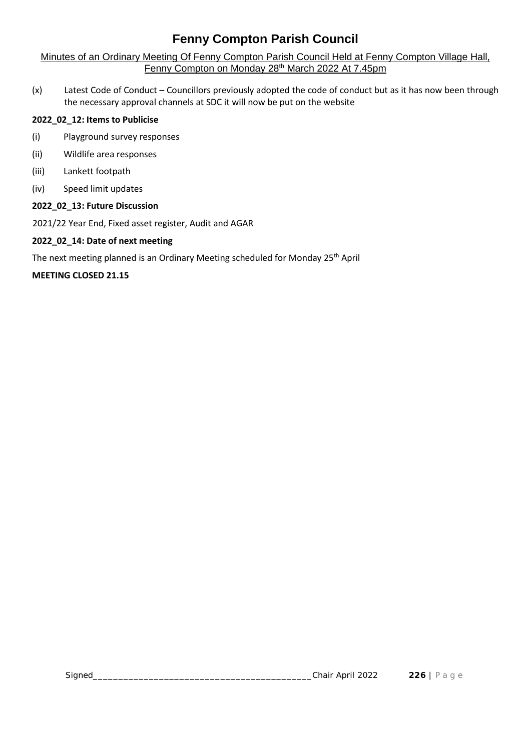Minutes of an Ordinary Meeting Of Fenny Compton Parish Council Held at Fenny Compton Village Hall, Fenny Compton on Monday 28<sup>th</sup> March 2022 At 7.45pm

(x) Latest Code of Conduct – Councillors previously adopted the code of conduct but as it has now been through the necessary approval channels at SDC it will now be put on the website

# **2022\_02\_12: Items to Publicise**

- (i) Playground survey responses
- (ii) Wildlife area responses
- (iii) Lankett footpath
- (iv) Speed limit updates

# **2022\_02\_13: Future Discussion**

2021/22 Year End, Fixed asset register, Audit and AGAR

# **2022\_02\_14: Date of next meeting**

The next meeting planned is an Ordinary Meeting scheduled for Monday 25<sup>th</sup> April

### **MEETING CLOSED 21.15**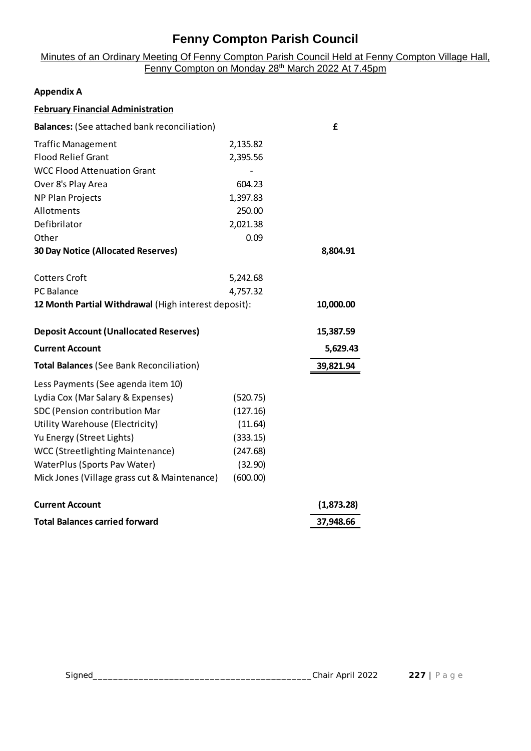### Minutes of an Ordinary Meeting Of Fenny Compton Parish Council Held at Fenny Compton Village Hall, Fenny Compton on Monday 28<sup>th</sup> March 2022 At 7.45pm

#### **Appendix A**

| <b>February Financial Administration</b>             |          |            |
|------------------------------------------------------|----------|------------|
| <b>Balances:</b> (See attached bank reconciliation)  |          | £          |
| <b>Traffic Management</b>                            | 2,135.82 |            |
| <b>Flood Relief Grant</b>                            | 2,395.56 |            |
| <b>WCC Flood Attenuation Grant</b>                   |          |            |
| Over 8's Play Area                                   | 604.23   |            |
| <b>NP Plan Projects</b>                              | 1,397.83 |            |
| Allotments                                           | 250.00   |            |
| Defibrilator                                         | 2,021.38 |            |
| Other                                                | 0.09     |            |
| <b>30 Day Notice (Allocated Reserves)</b>            |          | 8,804.91   |
| <b>Cotters Croft</b>                                 | 5,242.68 |            |
| PC Balance                                           | 4,757.32 |            |
| 12 Month Partial Withdrawal (High interest deposit): |          | 10,000.00  |
| <b>Deposit Account (Unallocated Reserves)</b>        |          | 15,387.59  |
| <b>Current Account</b>                               |          | 5,629.43   |
| <b>Total Balances (See Bank Reconciliation)</b>      |          | 39,821.94  |
| Less Payments (See agenda item 10)                   |          |            |
| Lydia Cox (Mar Salary & Expenses)                    | (520.75) |            |
| SDC (Pension contribution Mar                        | (127.16) |            |
| Utility Warehouse (Electricity)                      | (11.64)  |            |
| Yu Energy (Street Lights)                            | (333.15) |            |
| <b>WCC (Streetlighting Maintenance)</b>              | (247.68) |            |
| WaterPlus (Sports Pav Water)                         | (32.90)  |            |
| Mick Jones (Village grass cut & Maintenance)         | (600.00) |            |
| <b>Current Account</b>                               |          | (1,873.28) |
| <b>Total Balances carried forward</b>                |          | 37,948.66  |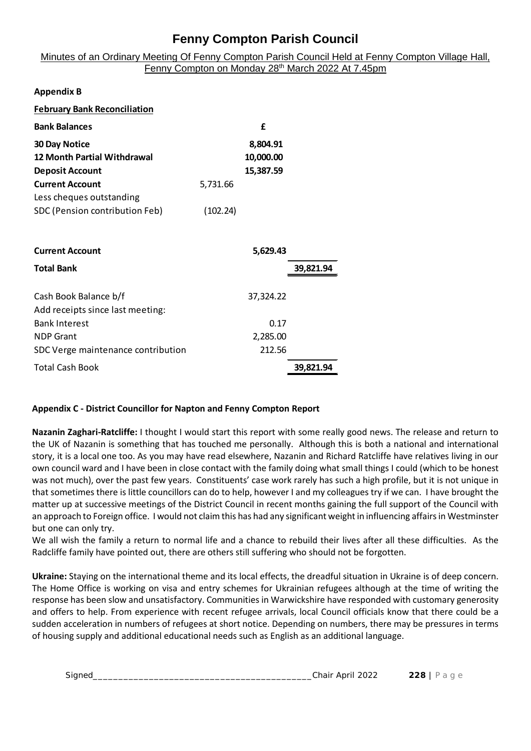Minutes of an Ordinary Meeting Of Fenny Compton Parish Council Held at Fenny Compton Village Hall, Fenny Compton on Monday 28<sup>th</sup> March 2022 At 7.45pm

|          | £         |
|----------|-----------|
|          | 8,804.91  |
|          | 10,000.00 |
|          | 15,387.59 |
| 5,731.66 |           |
|          |           |
| (102.24) |           |
|          |           |

| <b>Current Account</b>             | 5,629.43  |           |
|------------------------------------|-----------|-----------|
| <b>Total Bank</b>                  |           | 39,821.94 |
| Cash Book Balance b/f              | 37,324.22 |           |
| Add receipts since last meeting:   |           |           |
| <b>Bank Interest</b>               | 0.17      |           |
| <b>NDP Grant</b>                   | 2,285.00  |           |
| SDC Verge maintenance contribution | 212.56    |           |
| <b>Total Cash Book</b>             |           | 39,821.94 |

### **Appendix C - District Councillor for Napton and Fenny Compton Report**

**Nazanin Zaghari-Ratcliffe:** I thought I would start this report with some really good news. The release and return to the UK of Nazanin is something that has touched me personally. Although this is both a national and international story, it is a local one too. As you may have read elsewhere, Nazanin and Richard Ratcliffe have relatives living in our own council ward and I have been in close contact with the family doing what small things I could (which to be honest was not much), over the past few years. Constituents' case work rarely has such a high profile, but it is not unique in that sometimes there is little councillors can do to help, however I and my colleagues try if we can. I have brought the matter up at successive meetings of the District Council in recent months gaining the full support of the Council with an approach to Foreign office. I would not claim this has had any significant weight in influencing affairs in Westminster but one can only try.

We all wish the family a return to normal life and a chance to rebuild their lives after all these difficulties. As the Radcliffe family have pointed out, there are others still suffering who should not be forgotten.

Signed<br>Signed<br>Signed<br>Signed<br>Signed<br>Signed<br>Signed<br>Signed<br>Signed<br>Signed<br>Signed<br>Signed<br>Signed<br>Signed<br>Signed<br>Signed<br>Signed<br>Signed<br>Signed<br>Signed<br>Signed<br>Signed<br>Signed<br>Signed Signed Signed Signed Signed Signed Signed Signed Signe **Ukraine:** Staying on the international theme and its local effects, the dreadful situation in Ukraine is of deep concern. The Home Office is working on visa and entry schemes for Ukrainian refugees although at the time of writing the response has been slow and unsatisfactory. Communities in Warwickshire have responded with customary generosity and offers to help. From experience with recent refugee arrivals, local Council officials know that there could be a sudden acceleration in numbers of refugees at short notice. Depending on numbers, there may be pressures in terms

| Signed | Chair April 2022 | 228.<br>ຼ |
|--------|------------------|-----------|